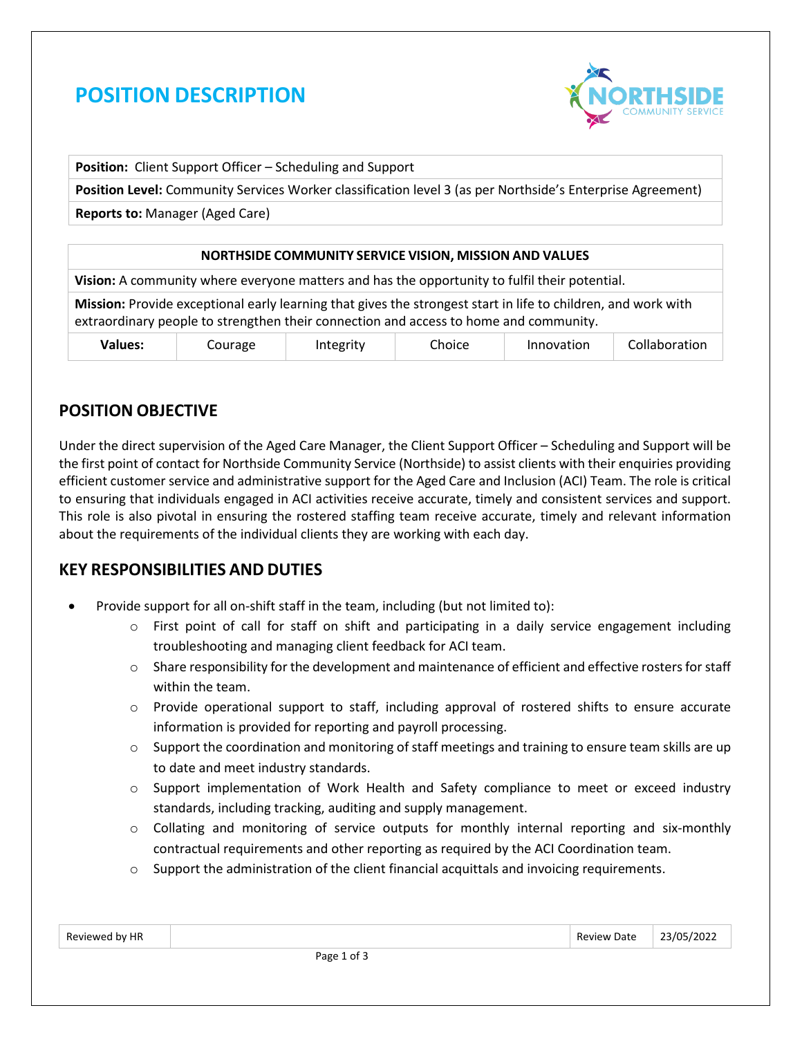# **POSITION DESCRIPTION**



**Position:** Client Support Officer – Scheduling and Support

**Position Level:** Community Services Worker classification level 3 (as per Northside's Enterprise Agreement)

**Reports to:** Manager (Aged Care)

#### **NORTHSIDE COMMUNITY SERVICE VISION, MISSION AND VALUES**

**Vision:** A community where everyone matters and has the opportunity to fulfil their potential.

**Mission:** Provide exceptional early learning that gives the strongest start in life to children, and work with extraordinary people to strengthen their connection and access to home and community.

| 'alues: | urage | . | <b>hoice</b> | Innovation | .<br>uoration. |
|---------|-------|---|--------------|------------|----------------|
|---------|-------|---|--------------|------------|----------------|

# **POSITION OBJECTIVE**

Under the direct supervision of the Aged Care Manager, the Client Support Officer – Scheduling and Support will be the first point of contact for Northside Community Service (Northside) to assist clients with their enquiries providing efficient customer service and administrative support for the Aged Care and Inclusion (ACI) Team. The role is critical to ensuring that individuals engaged in ACI activities receive accurate, timely and consistent services and support. This role is also pivotal in ensuring the rostered staffing team receive accurate, timely and relevant information about the requirements of the individual clients they are working with each day.

### **KEY RESPONSIBILITIES AND DUTIES**

- Provide support for all on-shift staff in the team, including (but not limited to):
	- $\circ$  First point of call for staff on shift and participating in a daily service engagement including troubleshooting and managing client feedback for ACI team.
	- $\circ$  Share responsibility for the development and maintenance of efficient and effective rosters for staff within the team.
	- $\circ$  Provide operational support to staff, including approval of rostered shifts to ensure accurate information is provided for reporting and payroll processing.
	- o Support the coordination and monitoring of staff meetings and training to ensure team skills are up to date and meet industry standards.
	- $\circ$  Support implementation of Work Health and Safety compliance to meet or exceed industry standards, including tracking, auditing and supply management.
	- o Collating and monitoring of service outputs for monthly internal reporting and six-monthly contractual requirements and other reporting as required by the ACI Coordination team.
	- o Support the administration of the client financial acquittals and invoicing requirements.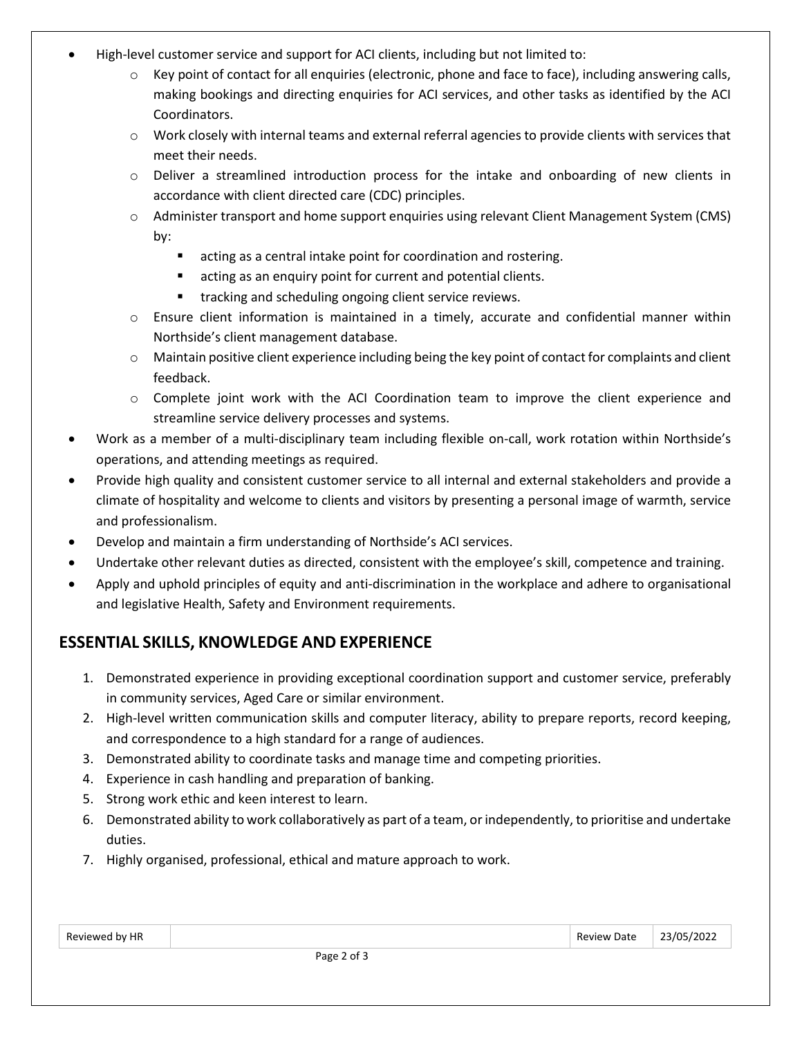- High-level customer service and support for ACI clients, including but not limited to:
	- $\circ$  Key point of contact for all enquiries (electronic, phone and face to face), including answering calls, making bookings and directing enquiries for ACI services, and other tasks as identified by the ACI Coordinators.
	- o Work closely with internal teams and external referral agencies to provide clients with services that meet their needs.
	- $\circ$  Deliver a streamlined introduction process for the intake and onboarding of new clients in accordance with client directed care (CDC) principles.
	- o Administer transport and home support enquiries using relevant Client Management System (CMS) by:
		- acting as a central intake point for coordination and rostering.
		- acting as an enquiry point for current and potential clients.
		- tracking and scheduling ongoing client service reviews.
	- o Ensure client information is maintained in a timely, accurate and confidential manner within Northside's client management database.
	- o Maintain positive client experience including being the key point of contact for complaints and client feedback.
	- $\circ$  Complete joint work with the ACI Coordination team to improve the client experience and streamline service delivery processes and systems.
- Work as a member of a multi-disciplinary team including flexible on-call, work rotation within Northside's operations, and attending meetings as required.
- Provide high quality and consistent customer service to all internal and external stakeholders and provide a climate of hospitality and welcome to clients and visitors by presenting a personal image of warmth, service and professionalism.
- Develop and maintain a firm understanding of Northside's ACI services.
- Undertake other relevant duties as directed, consistent with the employee's skill, competence and training.
- Apply and uphold principles of equity and anti-discrimination in the workplace and adhere to organisational and legislative Health, Safety and Environment requirements.

# **ESSENTIAL SKILLS, KNOWLEDGE AND EXPERIENCE**

- 1. Demonstrated experience in providing exceptional coordination support and customer service, preferably in community services, Aged Care or similar environment.
- 2. High-level written communication skills and computer literacy, ability to prepare reports, record keeping, and correspondence to a high standard for a range of audiences.
- 3. Demonstrated ability to coordinate tasks and manage time and competing priorities.
- 4. Experience in cash handling and preparation of banking.
- 5. Strong work ethic and keen interest to learn.
- 6. Demonstrated ability to work collaboratively as part of a team, or independently, to prioritise and undertake duties.
- 7. Highly organised, professional, ethical and mature approach to work.